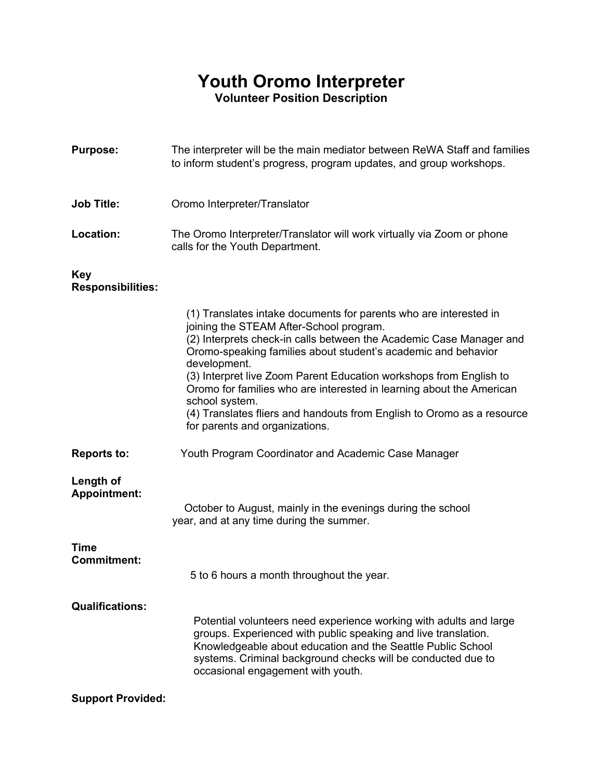## **Youth Oromo Interpreter Volunteer Position Description**

**Purpose:** The interpreter will be the main mediator between ReWA Staff and families to inform student's progress, program updates, and group workshops.

## **Job Title:** Oromo Interpreter/Translator

**Location:** The Oromo Interpreter/Translator will work virtually via Zoom or phone calls for the Youth Department.

## **Key**

## **Responsibilities:**

|                                  | (1) Translates intake documents for parents who are interested in<br>joining the STEAM After-School program.<br>(2) Interprets check-in calls between the Academic Case Manager and<br>Oromo-speaking families about student's academic and behavior<br>development.<br>(3) Interpret live Zoom Parent Education workshops from English to<br>Oromo for families who are interested in learning about the American<br>school system.<br>(4) Translates fliers and handouts from English to Oromo as a resource<br>for parents and organizations. |
|----------------------------------|--------------------------------------------------------------------------------------------------------------------------------------------------------------------------------------------------------------------------------------------------------------------------------------------------------------------------------------------------------------------------------------------------------------------------------------------------------------------------------------------------------------------------------------------------|
| <b>Reports to:</b>               | Youth Program Coordinator and Academic Case Manager                                                                                                                                                                                                                                                                                                                                                                                                                                                                                              |
| Length of<br><b>Appointment:</b> | October to August, mainly in the evenings during the school<br>year, and at any time during the summer.                                                                                                                                                                                                                                                                                                                                                                                                                                          |
| Time<br><b>Commitment:</b>       | 5 to 6 hours a month throughout the year.                                                                                                                                                                                                                                                                                                                                                                                                                                                                                                        |
| <b>Qualifications:</b>           | Potential volunteers need experience working with adults and large<br>groups. Experienced with public speaking and live translation.<br>Knowledgeable about education and the Seattle Public School<br>systems. Criminal background checks will be conducted due to<br>occasional engagement with youth.                                                                                                                                                                                                                                         |
| <b>Support Provided:</b>         |                                                                                                                                                                                                                                                                                                                                                                                                                                                                                                                                                  |